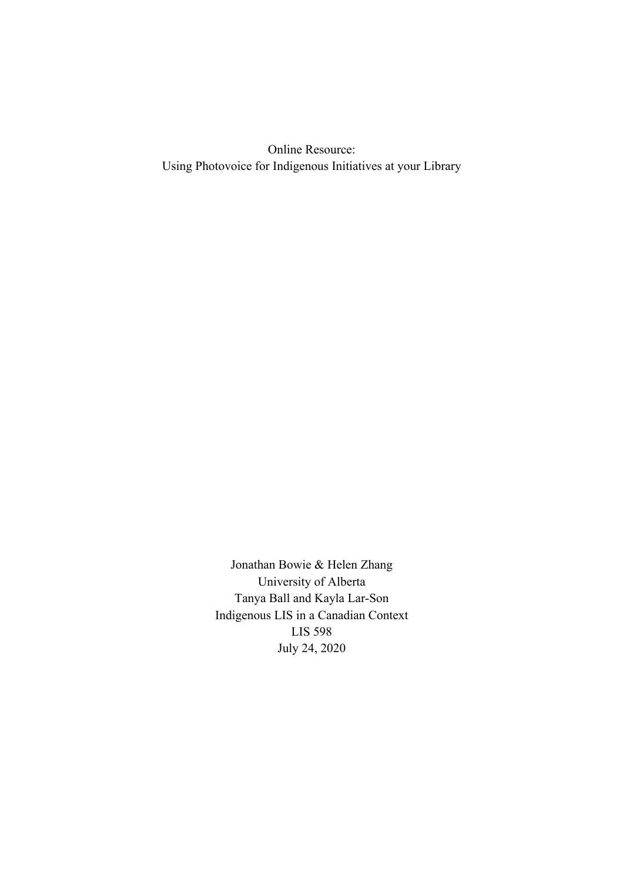Online Resource: Using Photovoice for Indigenous Initiatives at your Library

> Jonathan Bowie & Helen Zhang University of Alberta Tanya Ball and Kayla Lar-Son Indigenous LIS in a Canadian Context LIS 598 July 24, 2020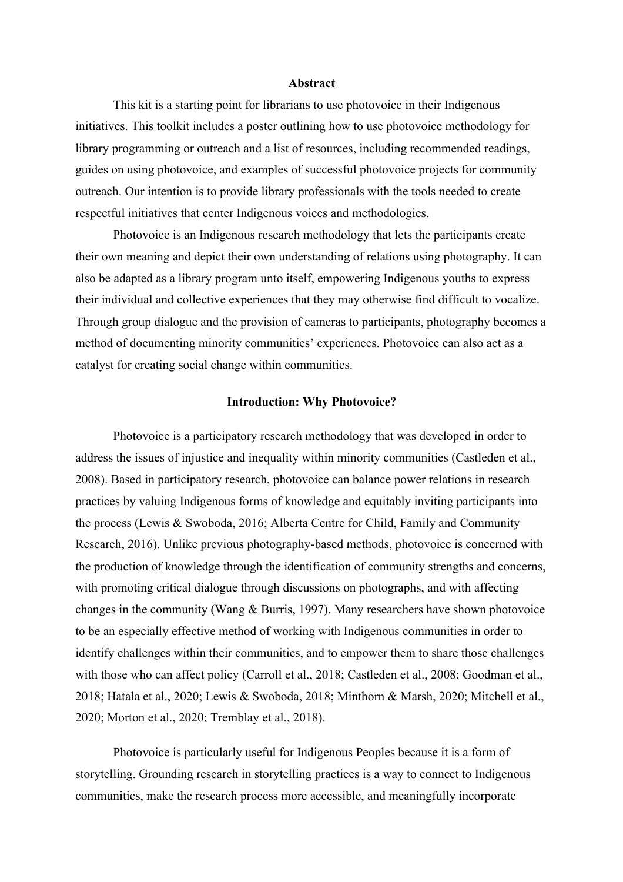## **Abstract**

This kit is a starting point for librarians to use photovoice in their Indigenous initiatives. This toolkit includes a poster outlining how to use photovoice methodology for library programming or outreach and a list of resources, including recommended readings, guides on using photovoice, and examples of successful photovoice projects for community outreach. Our intention is to provide library professionals with the tools needed to create respectful initiatives that center Indigenous voices and methodologies.

Photovoice is an Indigenous research methodology that lets the participants create their own meaning and depict their own understanding of relations using photography. It can also be adapted as a library program unto itself, empowering Indigenous youths to express their individual and collective experiences that they may otherwise find difficult to vocalize. Through group dialogue and the provision of cameras to participants, photography becomes a method of documenting minority communities' experiences. Photovoice can also act as a catalyst for creating social change within communities.

## **Introduction: Why Photovoice?**

Photovoice is a participatory research methodology that was developed in order to address the issues of injustice and inequality within minority communities (Castleden et al., 2008). Based in participatory research, photovoice can balance power relations in research practices by valuing Indigenous forms of knowledge and equitably inviting participants into the process (Lewis & Swoboda, 2016; Alberta Centre for Child, Family and Community Research, 2016). Unlike previous photography-based methods, photovoice is concerned with the production of knowledge through the identification of community strengths and concerns, with promoting critical dialogue through discussions on photographs, and with affecting changes in the community (Wang & Burris, 1997). Many researchers have shown photovoice to be an especially effective method of working with Indigenous communities in order to identify challenges within their communities, and to empower them to share those challenges with those who can affect policy (Carroll et al., 2018; Castleden et al., 2008; Goodman et al., 2018; Hatala et al., 2020; Lewis & Swoboda, 2018; Minthorn & Marsh, 2020; Mitchell et al., 2020; Morton et al., 2020; Tremblay et al., 2018).

Photovoice is particularly useful for Indigenous Peoples because it is a form of storytelling. Grounding research in storytelling practices is a way to connect to Indigenous communities, make the research process more accessible, and meaningfully incorporate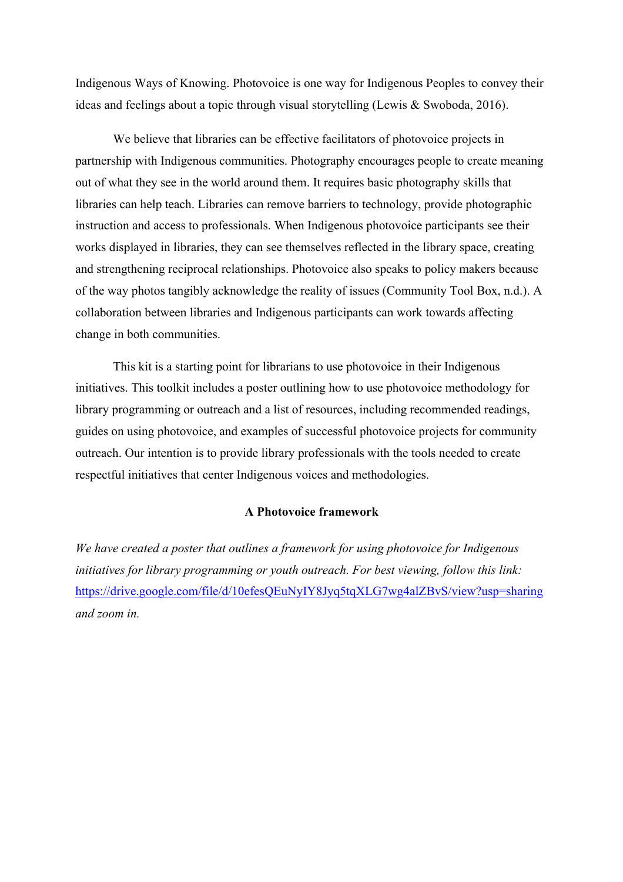Indigenous Ways of Knowing. Photovoice is one way for Indigenous Peoples to convey their ideas and feelings about a topic through visual storytelling (Lewis & Swoboda, 2016).

We believe that libraries can be effective facilitators of photovoice projects in partnership with Indigenous communities. Photography encourages people to create meaning out of what they see in the world around them. It requires basic photography skills that libraries can help teach. Libraries can remove barriers to technology, provide photographic instruction and access to professionals. When Indigenous photovoice participants see their works displayed in libraries, they can see themselves reflected in the library space, creating and strengthening reciprocal relationships. Photovoice also speaks to policy makers because of the way photos tangibly acknowledge the reality of issues (Community Tool Box, n.d.). A collaboration between libraries and Indigenous participants can work towards affecting change in both communities.

This kit is a starting point for librarians to use photovoice in their Indigenous initiatives. This toolkit includes a poster outlining how to use photovoice methodology for library programming or outreach and a list of resources, including recommended readings, guides on using photovoice, and examples of successful photovoice projects for community outreach. Our intention is to provide library professionals with the tools needed to create respectful initiatives that center Indigenous voices and methodologies.

## **A Photovoice framework**

*We have created a poster that outlines a framework for using photovoice for Indigenous initiatives for library programming or youth outreach. For best viewing, follow this link:*  https://drive.google.com/file/d/10efesQEuNyIY8Jyq5tqXLG7wg4alZBvS/view?usp=sharing *and zoom in.*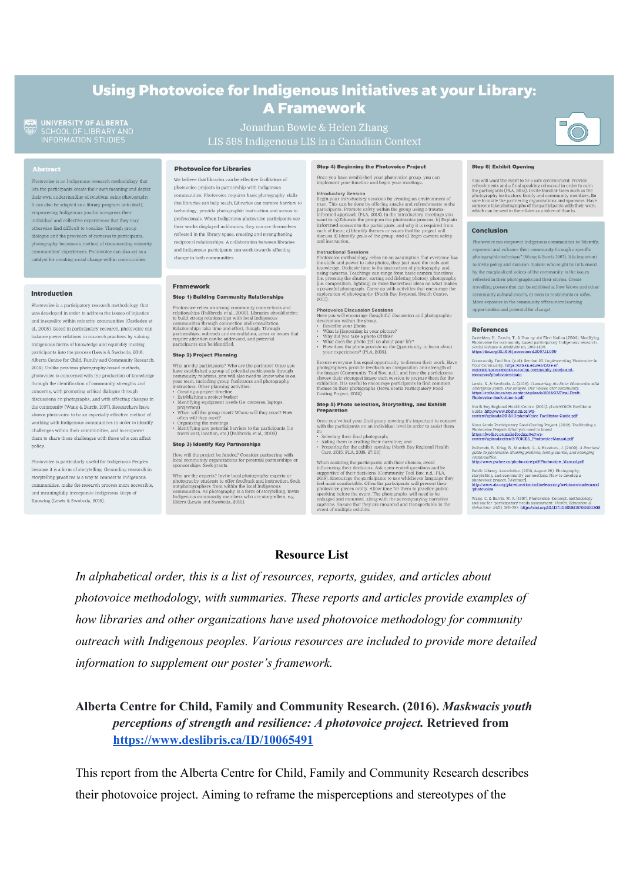# Using Photovoice for Indigenous Initiatives at your Library: **A Framework**

Jonathan Bowie & Helen Zhang

UNIVERSITY OF ALBERTA<br>SCHOOL OF LIBRARY AND<br>INFORMATION STUDIES

Photovoice is an Indigenous research methodology that lets the participants create their own meaning and depict their own understanding of relations using photography. It can also be adapted as a library program unto itself, empowering Indigenous youths to express their individual and collective experiences that they may otherwise find difficult to vocalize. Through group dialogue and the provision of cameras to participants, photography becomes a method of documenting minority communities' experiences. Photovoice can also act as a catalyst for creating social change within communities

### Introduction

Photovoice is a participatory research methodology that was developed in order to address the issues of injustice and inequality within minority communities (Castleden et al., 2008). Based in participatory research, photovoice can balance power relations in research practices by valuing Indigenous forms of knowledge and equitably inviting participants into the process (Lewis & Swoboda, 2016; Alberta Centre for Child, Family and Community Research, 2016). Unlike previous photography-based methods, photovoice is concerned with the production of knowledge through the identification of community strengths and concerns, with promoting critical dialogue through discussions on photographs, and with affecting changes in the community (Wang & Burris, 1997). Researchers have shown photovoice to be an especially effective method of working with Indigenous communities in order to identify challenges within their communities, and to empower them to share those challenges with those who can affect policy.

Photovoice is particularly useful for Indigenous Peopler because it is a form of storytelling. Grounding research in storytelling practices is a way to connect to Indigenous communities, make the research process more accessible, and meaningfully incorporate Indigenous Ways of Knowing (Lewis & Swoboda, 2016).

### **Photovoice for Libraries**

We believe that libraries can be effective facilitators of photovoice projects in partnership with Indigenou communities. Photovoice requires basic photography skills that libraries can help teach. Libraries can remove barriers to technology, provide photographic instruction and access to professionals. When Indigenous photovoice participants see their works displayed in libraries, they can see themselves reflected in the library space, creating and strengthening reciprocal relationships. A collaboration between libraries and Indigenous participants can work towards affecting change in both communities.

#### Eramework

### **Step 1) Building Community Relationships**

Photovoice relies on strong community connections and<br>relationships (Palloroda et al., 2009). Libraries should strong relationships with local Indigenous<br>to build strong relationships with local Indigenous<br>communities thr

### **Step 2) Project Planning**

Who are the participants? Who are the partners? Once you have established a group of potential participants through community relations, you will also need to know who is on your team, including group facilitators and pho

- nstructors. Other planning activities:<br>
Creating a project timeline<br>
Establishing a project budget<br>
Leafthing applice budget<br>
Leafthing applice budget<br>
Identifying equipment needs (i.e. cameras, laptops,<br>
When will they me
- **Step 3) Identify Key Partnerships**

# How will the project be funded? Consider partnering with<br>local community organizations for potential partnerships or<br>sponsorships. Seek grants.  $\,$

Who are the experts? Invite local photography experts or<br>photography students to offer feedback and instruction. Seek photography students to other teedback and instruction. Seek<br>out photographers from within the local Indigenous<br>communities. As photography is a form of storytelling, invite<br>Indigenous communities as photography is a form

#### Step 4) Beginning the Photovoice Project

Once you have established your photovoice group, you can implement your timeline and begin your meetings.

**Introductory Session** System and proportional proportion of Begin your introductory sessions by creating an environment of trust. This can be done by offering snacks and refreshments to the participiants. Promote safely

and instruction. <br> **Instructional Sessions**<br>
Theotovice methodology relies on an assumption that everyone has<br>
Photovice methodology relies on an assumption that everyone has<br>
the skills and power to take photos, they jus

- 
- 
- $\begin{tabular}{l} \textbf{Photovole Discussion Session} \textbf{Session} \\ Here you will encounter group, the output of the system, and that the group of the system. \end{tabular}. \begin{tabular}{l} Use the problem with the group of the system, and the problem is not only a number of the system. \end{tabular} \begin{tabular}{l} \textbf{a} by the problem in your picture? \end{tabular} \end{tabular} \begin{tabular}{l} \textbf{b} by the problem in your picture? \end{tabular} \begin{tabular}{l} \textbf{c} by the problem of the sum of the system. \end{tabular} \end{tabular}$

Ensure everyone has equal opportunity to discuss their work. Have photographers provide feedback on composition and strength of the images (Community Tool Box, n.d.), and have the participants the choose their strongest i

## Step 5) Photo selection, Storytelling, and Exhibit

Once you've had your final group meeting it's important to connect<br>with the participants on an individual level in order to assist them

in:<br>  $\bullet$  Selecting their final photograph;<br> • Miding them in crafting their narrative; and<br> • Areparing for the exhibit opening (North Bay Regional Health<br> Care, 2015; PLA, 2018, 27:03)

When assisting the participants with their choices, avoid<br>when assisting the participants with their choices, avoid<br>a supportive of their decisions Ask open-ended questions and be<br>approxime the participants to use whichev *they* 

#### **Step 6) Exhibit Opening**

You will want the event to be a safe environment. Provide refreshments and a final speaking rehears and reparation the participants (PLA, 2018). Invite famility are set on sa the photography instructors, family and commun

#### **Conclusion**

Photovoice can empower Indigenous communities to "identify, epresent and enhance their community through a specific photographic technique" (Wang & Burris 1997). It is important to invite policy and decision-makers who might be influenced by the marginalized voices of the community to the issues reflected in their photographs and their stories. Create travelling posters that can be exhibited at Pow Wows and other .<br>mmunity cultural events, or even in restaurants or cafes. More exposure in the community offers more learning opportunities and potential for change!

#### **References**

telden, H., Garvin, T., & Huu-ay-aht First Nation (2008). Modifying<br>stovolce for community-based participatory Indigenous research. Photovoice for community-based participatory<br>Social Science & Medicine 66, 1393-1405.<br>https://doi.org/10.1016/j.socscimed.2007.11.030

 $\begin{minipage}[t]{.03\textwidth} \begin{minipage}[t]{.03\textwidth} \begin{itemize} \textit{Conm}(\textit{in}, \textit{in}), \textit{Section 20.}\textit{Implementing Photovole} \textit{in} \textit{Now} \textit{Comm}(\textit{in}) \textit{in} \textit{For} \textit{in}(\textit{in}) \textit{in} \textit{in} \textit{in} \textit{in} \textit{in} \textit{in} \textit{in} \textit{in} \textit{in} \textit{in} \textit{in} \textit{in} \textit{in} \textit{in} \textit{in} \textit{$ 

Lewis, S., & Swoboda, A. (2016). Connecting the Dots: Photovoice with riginal youth. Our images. Our voices. Our community.<br>s://cmha.bc.ca/wp-content/uploads/2016/07/Final-Draft-<br>ovoice-Book-June-5.pdf

orth Bay Regional Health Centre. (2015). photoVOICE Facilitator<br>uide. http://www.nbrhc.on.ca/wp-<br>intent/uploads/2015/10/photoVoice-Facilitator-Guide.pdf

Nova Scotia Participatory Food Costing Project. (2012). Facilitating a Photovoice Project: What you need to know!<br>https://foodarc.ca/makefoodmatter/wp-<br>https://foodarc.ca/makefoodmatter/wp-<br>content/uploads/sites/3/VOICES\_

Palibroda, B., Krieg, B., Murdock, L., & Havelock, J. (2009). A Practical<br>guide to photovoice: Sharing pictures, telling stories, and changing

communities.<br>http://www.pwhce.ca/photovoice/pdf/Photovoice\_Manual.pdf

Public Library Association. (2018, August 29). Photography, atorytelling, and community connections: How to develop a https://www.ala.org/placeducation.in/historytelensity.html<br>photovolee project. [Webinar].<br>https://www.a

Wang, C. & Burris, M. A. (1997). Photovoice: Concept, methodology<br>and use for participatory needs assessment. *Health, Education &*<br>Behaviour, 24(3), 369-387. https://doi.org/10.1177/10801981970240C

## **Resource List**

*In alphabetical order, this is a list of resources, reports, guides, and articles about photovoice methodology, with summaries. These reports and articles provide examples of how libraries and other organizations have used photovoice methodology for community outreach with Indigenous peoples. Various resources are included to provide more detailed information to supplement our poster's framework.* 

**Alberta Centre for Child, Family and Community Research. (2016).** *Maskwacis youth perceptions of strength and resilience: A photovoice project.* **Retrieved from https://www.deslibris.ca/ID/10065491** 

This report from the Alberta Centre for Child, Family and Community Research describes their photovoice project. Aiming to reframe the misperceptions and stereotypes of the

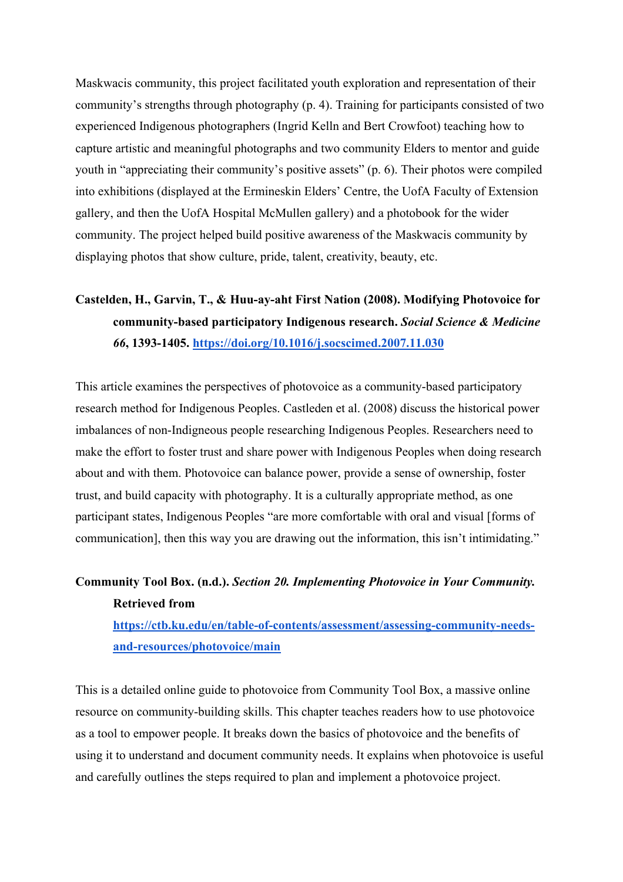Maskwacis community, this project facilitated youth exploration and representation of their community's strengths through photography (p. 4). Training for participants consisted of two experienced Indigenous photographers (Ingrid Kelln and Bert Crowfoot) teaching how to capture artistic and meaningful photographs and two community Elders to mentor and guide youth in "appreciating their community's positive assets" (p. 6). Their photos were compiled into exhibitions (displayed at the Ermineskin Elders' Centre, the UofA Faculty of Extension gallery, and then the UofA Hospital McMullen gallery) and a photobook for the wider community. The project helped build positive awareness of the Maskwacis community by displaying photos that show culture, pride, talent, creativity, beauty, etc.

# **Castelden, H., Garvin, T., & Huu-ay-aht First Nation (2008). Modifying Photovoice for community-based participatory Indigenous research.** *Social Science & Medicine 66***, 1393-1405. https://doi.org/10.1016/j.socscimed.2007.11.030**

This article examines the perspectives of photovoice as a community-based participatory research method for Indigenous Peoples. Castleden et al. (2008) discuss the historical power imbalances of non-Indigneous people researching Indigenous Peoples. Researchers need to make the effort to foster trust and share power with Indigenous Peoples when doing research about and with them. Photovoice can balance power, provide a sense of ownership, foster trust, and build capacity with photography. It is a culturally appropriate method, as one participant states, Indigenous Peoples "are more comfortable with oral and visual [forms of communication], then this way you are drawing out the information, this isn't intimidating."

# **Community Tool Box. (n.d.).** *Section 20. Implementing Photovoice in Your Community.*  **Retrieved from**

**https://ctb.ku.edu/en/table-of-contents/assessment/assessing-community-needsand-resources/photovoice/main**

This is a detailed online guide to photovoice from Community Tool Box, a massive online resource on community-building skills. This chapter teaches readers how to use photovoice as a tool to empower people. It breaks down the basics of photovoice and the benefits of using it to understand and document community needs. It explains when photovoice is useful and carefully outlines the steps required to plan and implement a photovoice project.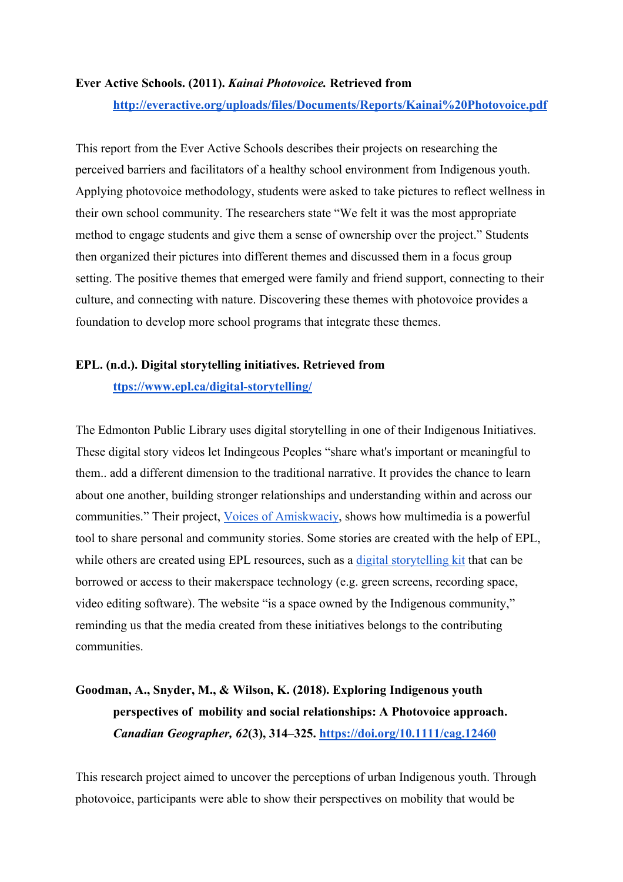## **Ever Active Schools. (2011).** *Kainai Photovoice.* **Retrieved from**

## **http://everactive.org/uploads/files/Documents/Reports/Kainai%20Photovoice.pdf**

This report from the Ever Active Schools describes their projects on researching the perceived barriers and facilitators of a healthy school environment from Indigenous youth. Applying photovoice methodology, students were asked to take pictures to reflect wellness in their own school community. The researchers state "We felt it was the most appropriate method to engage students and give them a sense of ownership over the project." Students then organized their pictures into different themes and discussed them in a focus group setting. The positive themes that emerged were family and friend support, connecting to their culture, and connecting with nature. Discovering these themes with photovoice provides a foundation to develop more school programs that integrate these themes.

# **EPL. (n.d.). Digital storytelling initiatives. Retrieved from ttps://www.epl.ca/digital-storytelling/**

The Edmonton Public Library uses digital storytelling in one of their Indigenous Initiatives. These digital story videos let Indingeous Peoples "share what's important or meaningful to them.. add a different dimension to the traditional narrative. It provides the chance to learn about one another, building stronger relationships and understanding within and across our communities." Their project, Voices of Amiskwaciy, shows how multimedia is a powerful tool to share personal and community stories. Some stories are created with the help of EPL, while others are created using EPL resources, such as a digital storytelling kit that can be borrowed or access to their makerspace technology (e.g. green screens, recording space, video editing software). The website "is a space owned by the Indigenous community," reminding us that the media created from these initiatives belongs to the contributing communities.

# **Goodman, A., Snyder, M., & Wilson, K. (2018). Exploring Indigenous youth perspectives of mobility and social relationships: A Photovoice approach.**  *Canadian Geographer, 62***(3), 314–325. https://doi.org/10.1111/cag.12460**

This research project aimed to uncover the perceptions of urban Indigenous youth. Through photovoice, participants were able to show their perspectives on mobility that would be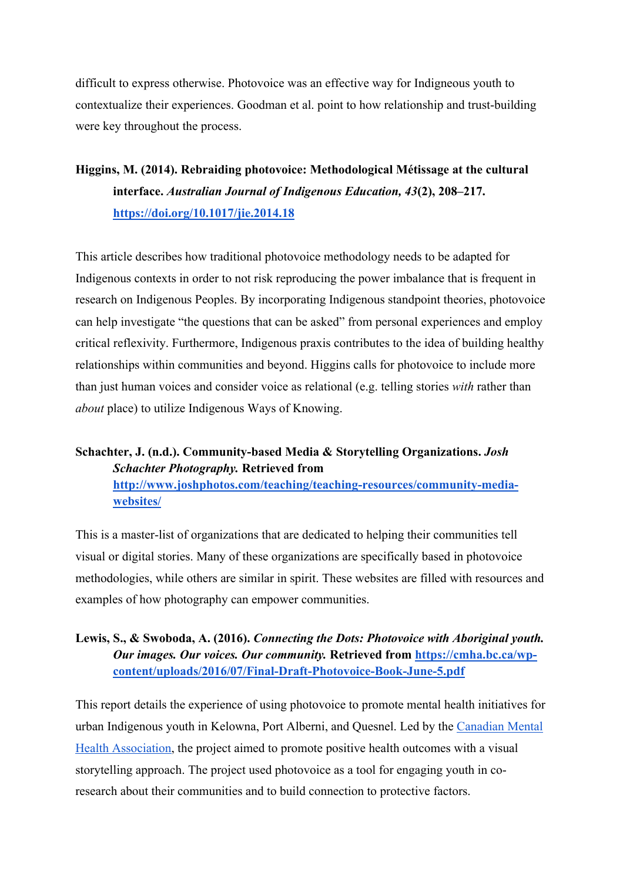difficult to express otherwise. Photovoice was an effective way for Indigneous youth to contextualize their experiences. Goodman et al. point to how relationship and trust-building were key throughout the process.

# **Higgins, M. (2014). Rebraiding photovoice: Methodological Métissage at the cultural interface.** *Australian Journal of Indigenous Education, 43***(2), 208–217. https://doi.org/10.1017/jie.2014.18**

This article describes how traditional photovoice methodology needs to be adapted for Indigenous contexts in order to not risk reproducing the power imbalance that is frequent in research on Indigenous Peoples. By incorporating Indigenous standpoint theories, photovoice can help investigate "the questions that can be asked" from personal experiences and employ critical reflexivity. Furthermore, Indigenous praxis contributes to the idea of building healthy relationships within communities and beyond. Higgins calls for photovoice to include more than just human voices and consider voice as relational (e.g. telling stories *with* rather than *about* place) to utilize Indigenous Ways of Knowing.

# **Schachter, J. (n.d.). Community-based Media & Storytelling Organizations.** *Josh Schachter Photography.* **Retrieved from**

**http://www.joshphotos.com/teaching/teaching-resources/community-mediawebsites/**

This is a master-list of organizations that are dedicated to helping their communities tell visual or digital stories. Many of these organizations are specifically based in photovoice methodologies, while others are similar in spirit. These websites are filled with resources and examples of how photography can empower communities.

## **Lewis, S., & Swoboda, A. (2016).** *Connecting the Dots: Photovoice with Aboriginal youth. Our images. Our voices. Our community.* **Retrieved from https://cmha.bc.ca/wpcontent/uploads/2016/07/Final-Draft-Photovoice-Book-June-5.pdf**

This report details the experience of using photovoice to promote mental health initiatives for urban Indigenous youth in Kelowna, Port Alberni, and Quesnel. Led by the Canadian Mental Health Association, the project aimed to promote positive health outcomes with a visual storytelling approach. The project used photovoice as a tool for engaging youth in coresearch about their communities and to build connection to protective factors.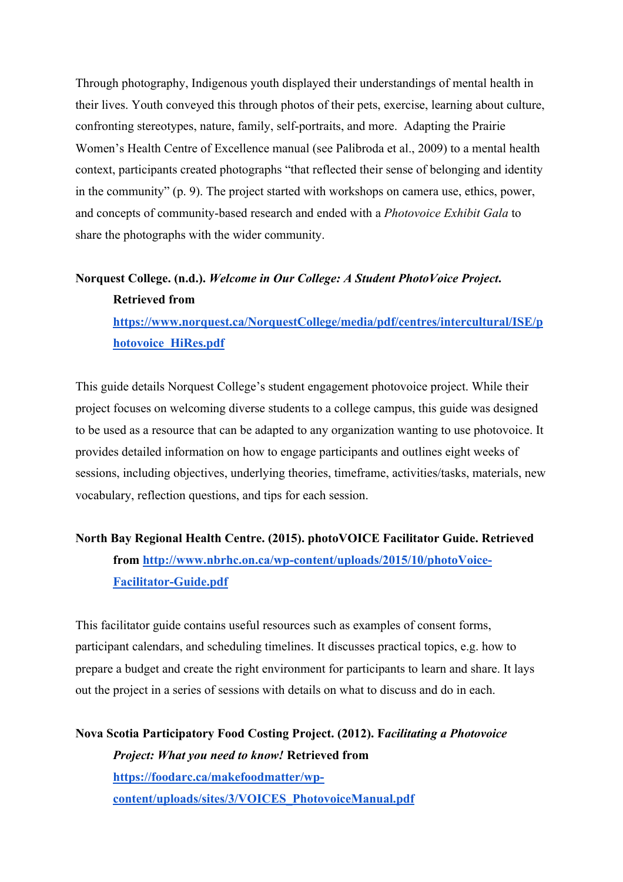Through photography, Indigenous youth displayed their understandings of mental health in their lives. Youth conveyed this through photos of their pets, exercise, learning about culture, confronting stereotypes, nature, family, self-portraits, and more. Adapting the Prairie Women's Health Centre of Excellence manual (see Palibroda et al., 2009) to a mental health context, participants created photographs "that reflected their sense of belonging and identity in the community" (p. 9). The project started with workshops on camera use, ethics, power, and concepts of community-based research and ended with a *Photovoice Exhibit Gala* to share the photographs with the wider community.

# **Norquest College. (n.d.).** *Welcome in Our College: A Student PhotoVoice Project***. Retrieved from**

**https://www.norquest.ca/NorquestCollege/media/pdf/centres/intercultural/ISE/p hotovoice\_HiRes.pdf**

This guide details Norquest College's student engagement photovoice project. While their project focuses on welcoming diverse students to a college campus, this guide was designed to be used as a resource that can be adapted to any organization wanting to use photovoice. It provides detailed information on how to engage participants and outlines eight weeks of sessions, including objectives, underlying theories, timeframe, activities/tasks, materials, new vocabulary, reflection questions, and tips for each session.

# **North Bay Regional Health Centre. (2015). photoVOICE Facilitator Guide. Retrieved from http://www.nbrhc.on.ca/wp-content/uploads/2015/10/photoVoice-Facilitator-Guide.pdf**

This facilitator guide contains useful resources such as examples of consent forms, participant calendars, and scheduling timelines. It discusses practical topics, e.g. how to prepare a budget and create the right environment for participants to learn and share. It lays out the project in a series of sessions with details on what to discuss and do in each.

**Nova Scotia Participatory Food Costing Project. (2012). F***acilitating a Photovoice Project: What you need to know!* **Retrieved from https://foodarc.ca/makefoodmatter/wpcontent/uploads/sites/3/VOICES\_PhotovoiceManual.pdf**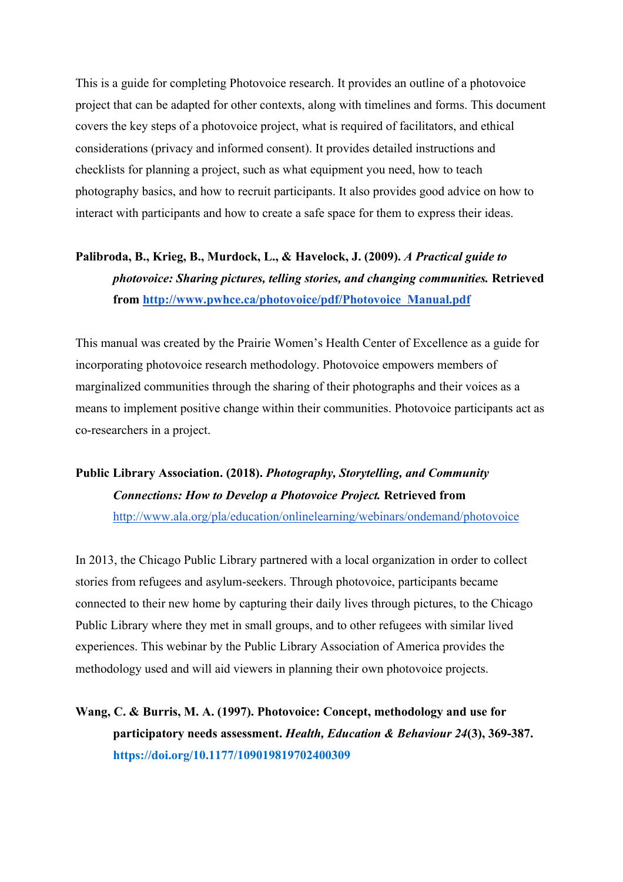This is a guide for completing Photovoice research. It provides an outline of a photovoice project that can be adapted for other contexts, along with timelines and forms. This document covers the key steps of a photovoice project, what is required of facilitators, and ethical considerations (privacy and informed consent). It provides detailed instructions and checklists for planning a project, such as what equipment you need, how to teach photography basics, and how to recruit participants. It also provides good advice on how to interact with participants and how to create a safe space for them to express their ideas.

# **Palibroda, B., Krieg, B., Murdock, L., & Havelock, J. (2009).** *A Practical guide to photovoice: Sharing pictures, telling stories, and changing communities.* **Retrieved from http://www.pwhce.ca/photovoice/pdf/Photovoice\_Manual.pdf**

This manual was created by the Prairie Women's Health Center of Excellence as a guide for incorporating photovoice research methodology. Photovoice empowers members of marginalized communities through the sharing of their photographs and their voices as a means to implement positive change within their communities. Photovoice participants act as co-researchers in a project.

# **Public Library Association. (2018).** *Photography, Storytelling, and Community Connections: How to Develop a Photovoice Project.* **Retrieved from**  http://www.ala.org/pla/education/onlinelearning/webinars/ondemand/photovoice

In 2013, the Chicago Public Library partnered with a local organization in order to collect stories from refugees and asylum-seekers. Through photovoice, participants became connected to their new home by capturing their daily lives through pictures, to the Chicago Public Library where they met in small groups, and to other refugees with similar lived experiences. This webinar by the Public Library Association of America provides the methodology used and will aid viewers in planning their own photovoice projects.

**Wang, C. & Burris, M. A. (1997). Photovoice: Concept, methodology and use for participatory needs assessment.** *Health, Education & Behaviour 24***(3), 369-387. https://doi.org/10.1177/109019819702400309**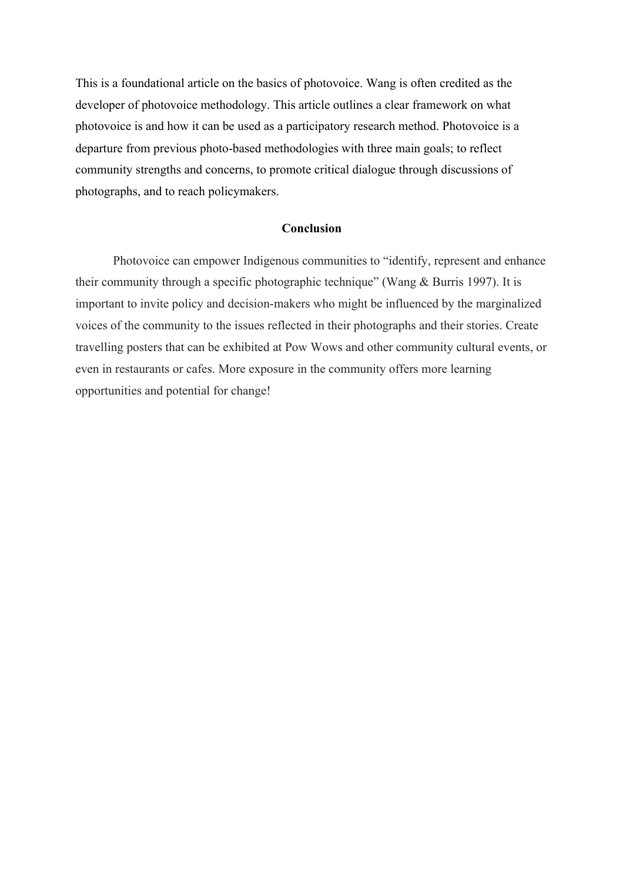This is a foundational article on the basics of photovoice. Wang is often credited as the developer of photovoice methodology. This article outlines a clear framework on what photovoice is and how it can be used as a participatory research method. Photovoice is a departure from previous photo-based methodologies with three main goals; to reflect community strengths and concerns, to promote critical dialogue through discussions of photographs, and to reach policymakers.

## **Conclusion**

Photovoice can empower Indigenous communities to "identify, represent and enhance their community through a specific photographic technique" (Wang & Burris 1997). It is important to invite policy and decision-makers who might be influenced by the marginalized voices of the community to the issues reflected in their photographs and their stories. Create travelling posters that can be exhibited at Pow Wows and other community cultural events, or even in restaurants or cafes. More exposure in the community offers more learning opportunities and potential for change!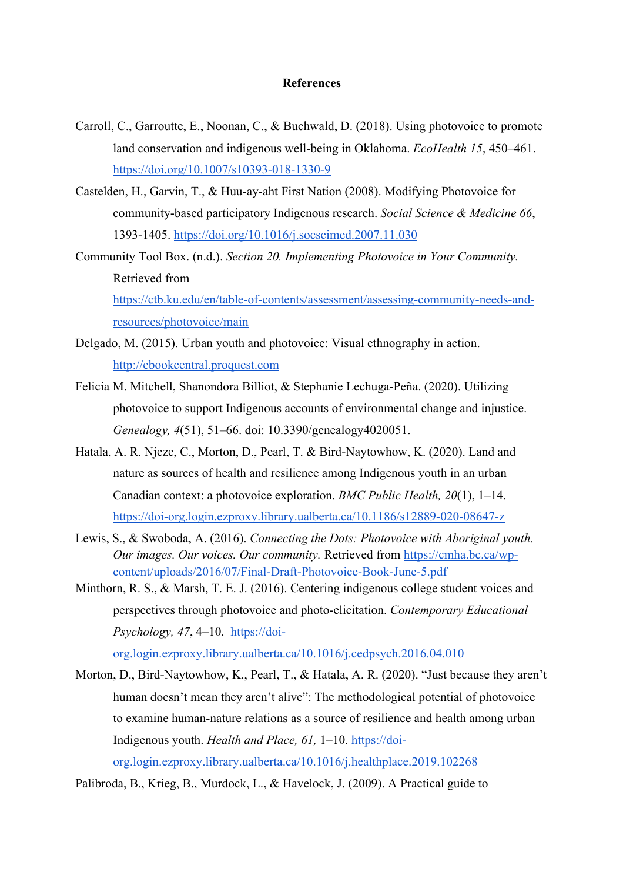## **References**

- Carroll, C., Garroutte, E., Noonan, C., & Buchwald, D. (2018). Using photovoice to promote land conservation and indigenous well-being in Oklahoma. *EcoHealth 15*, 450–461. https://doi.org/10.1007/s10393-018-1330-9
- Castelden, H., Garvin, T., & Huu-ay-aht First Nation (2008). Modifying Photovoice for community-based participatory Indigenous research. *Social Science & Medicine 66*, 1393-1405. https://doi.org/10.1016/j.socscimed.2007.11.030
- Community Tool Box. (n.d.). *Section 20. Implementing Photovoice in Your Community.*  Retrieved from https://ctb.ku.edu/en/table-of-contents/assessment/assessing-community-needs-andresources/photovoice/main
- Delgado, M. (2015). Urban youth and photovoice: Visual ethnography in action. http://ebookcentral.proquest.com
- Felicia M. Mitchell, Shanondora Billiot, & Stephanie Lechuga-Peña. (2020). Utilizing photovoice to support Indigenous accounts of environmental change and injustice. *Genealogy, 4*(51), 51–66. doi: 10.3390/genealogy4020051.
- Hatala, A. R. Njeze, C., Morton, D., Pearl, T. & Bird-Naytowhow, K. (2020). Land and nature as sources of health and resilience among Indigenous youth in an urban Canadian context: a photovoice exploration. *BMC Public Health, 20*(1), 1–14. https://doi-org.login.ezproxy.library.ualberta.ca/10.1186/s12889-020-08647-z
- Lewis, S., & Swoboda, A. (2016). *Connecting the Dots: Photovoice with Aboriginal youth. Our images. Our voices. Our community.* Retrieved from https://cmha.bc.ca/wpcontent/uploads/2016/07/Final-Draft-Photovoice-Book-June-5.pdf
- Minthorn, R. S., & Marsh, T. E. J. (2016). Centering indigenous college student voices and perspectives through photovoice and photo-elicitation. *Contemporary Educational Psychology, 47, 4*–10. https://doi-

org.login.ezproxy.library.ualberta.ca/10.1016/j.cedpsych.2016.04.010

Morton, D., Bird-Naytowhow, K., Pearl, T., & Hatala, A. R. (2020). "Just because they aren't human doesn't mean they aren't alive": The methodological potential of photovoice to examine human-nature relations as a source of resilience and health among urban Indigenous youth. *Health and Place, 61,* 1–10. https://doiorg.login.ezproxy.library.ualberta.ca/10.1016/j.healthplace.2019.102268

Palibroda, B., Krieg, B., Murdock, L., & Havelock, J. (2009). A Practical guide to